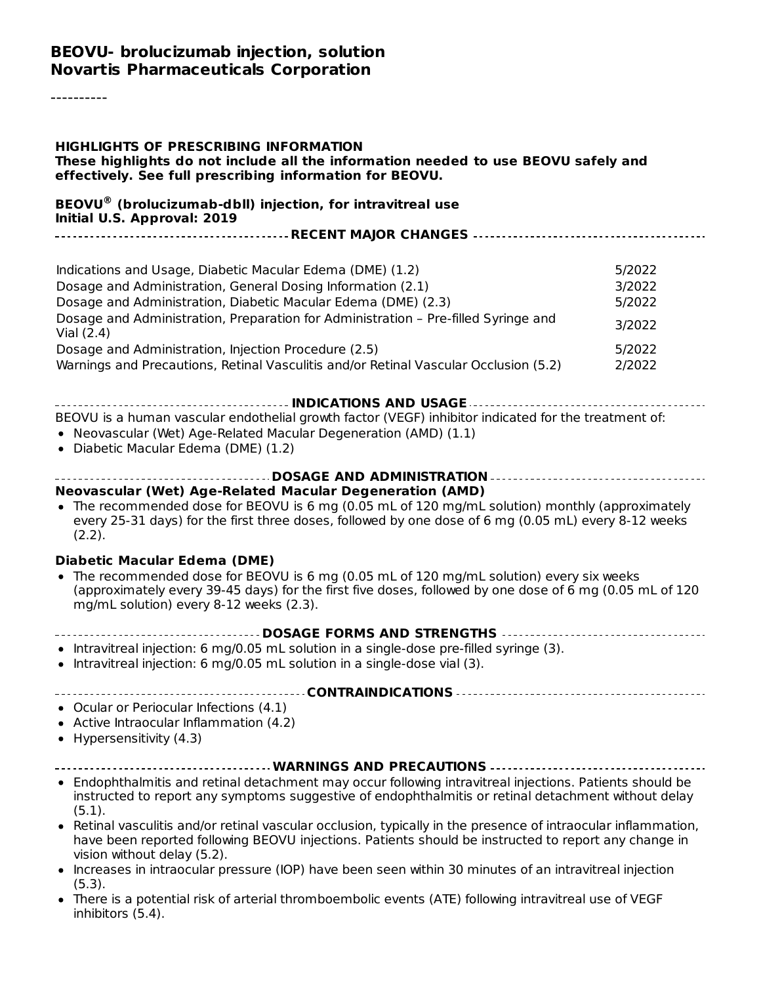#### **BEOVU- brolucizumab injection, solution Novartis Pharmaceuticals Corporation**

----------

#### **HIGHLIGHTS OF PRESCRIBING INFORMATION These highlights do not include all the information needed to use BEOVU safely and effectively. See full prescribing information for BEOVU. BEOVU (brolucizumab-dbll) injection, for intravitreal use ®Initial U.S. Approval: 2019 RECENT MAJOR CHANGES** Indications and Usage, Diabetic Macular Edema (DME) (1.2) 5/2022 Dosage and Administration, General Dosing Information (2.1) 3/2022 Dosage and Administration, Diabetic Macular Edema (DME) (2.3) 5/2022 Dosage and Administration, Preparation for Administration – Pre-filled Syringe and Vial (2.4) 3/2022 Dosage and Administration, Injection Procedure (2.5) S/2022 Warnings and Precautions, Retinal Vasculitis and/or Retinal Vascular Occlusion (5.2) 2/2022 **INDICATIONS AND USAGE** BEOVU is a human vascular endothelial growth factor (VEGF) inhibitor indicated for the treatment of: Neovascular (Wet) Age-Related Macular Degeneration (AMD) (1.1) Diabetic Macular Edema (DME) (1.2) **DOSAGE AND ADMINISTRATION Neovascular (Wet) Age-Related Macular Degeneration (AMD)** • The recommended dose for BEOVU is 6 mg (0.05 mL of 120 mg/mL solution) monthly (approximately every 25-31 days) for the first three doses, followed by one dose of 6 mg (0.05 mL) every 8-12 weeks (2.2). **Diabetic Macular Edema (DME)** The recommended dose for BEOVU is 6 mg (0.05 mL of 120 mg/mL solution) every six weeks (approximately every 39-45 days) for the first five doses, followed by one dose of 6 mg (0.05 mL of 120 mg/mL solution) every 8-12 weeks (2.3). **DOSAGE FORMS AND STRENGTHS**  $\bullet$  Intravitreal injection: 6 mg/0.05 mL solution in a single-dose pre-filled syringe (3). • Intravitreal injection: 6 mg/0.05 mL solution in a single-dose vial (3). **CONTRAINDICATIONS** Ocular or Periocular Infections (4.1) • Active Intraocular Inflammation (4.2)  $\bullet$  Hypersensitivity (4.3) **WARNINGS AND PRECAUTIONS** Endophthalmitis and retinal detachment may occur following intravitreal injections. Patients should be instructed to report any symptoms suggestive of endophthalmitis or retinal detachment without delay (5.1). Retinal vasculitis and/or retinal vascular occlusion, typically in the presence of intraocular inflammation, have been reported following BEOVU injections. Patients should be instructed to report any change in vision without delay (5.2). • Increases in intraocular pressure (IOP) have been seen within 30 minutes of an intravitreal iniection (5.3). There is a potential risk of arterial thromboembolic events (ATE) following intravitreal use of VEGF inhibitors (5.4).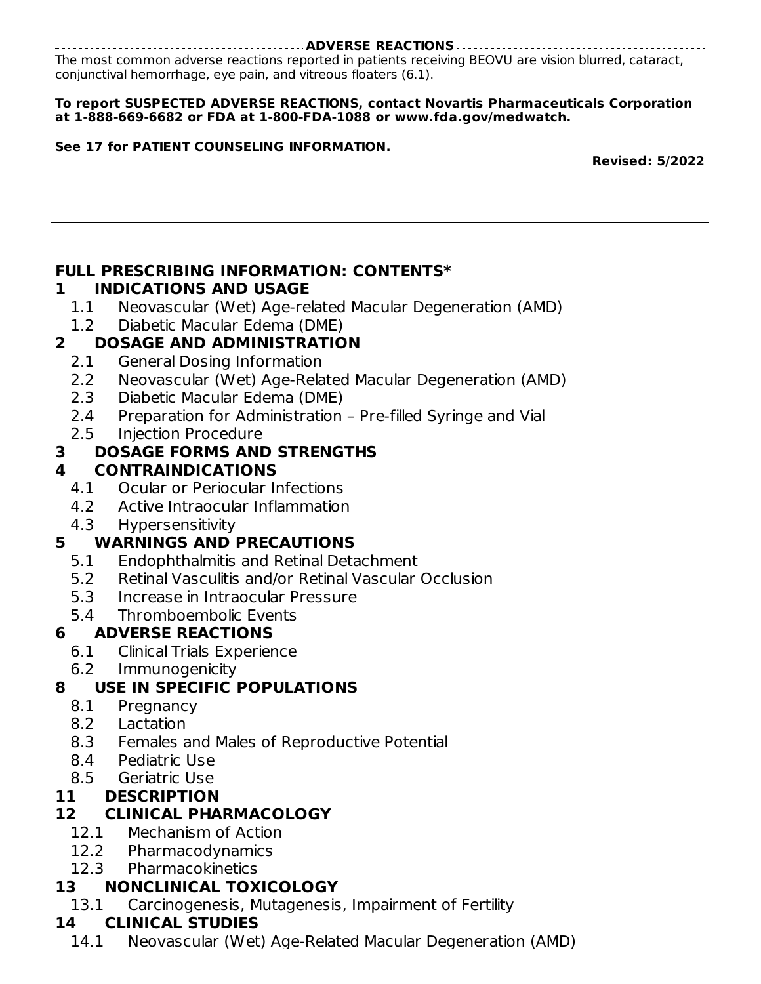#### **ADVERSE REACTIONS**

The most common adverse reactions reported in patients receiving BEOVU are vision blurred, cataract, conjunctival hemorrhage, eye pain, and vitreous floaters (6.1).

#### **To report SUSPECTED ADVERSE REACTIONS, contact Novartis Pharmaceuticals Corporation at 1-888-669-6682 or FDA at 1-800-FDA-1088 or www.fda.gov/medwatch.**

#### **See 17 for PATIENT COUNSELING INFORMATION.**

**Revised: 5/2022**

## **FULL PRESCRIBING INFORMATION: CONTENTS\***

### **1 INDICATIONS AND USAGE**

1.1 Neovascular (Wet) Age-related Macular Degeneration (AMD)

## 1.2 Diabetic Macular Edema (DME)

### **2 DOSAGE AND ADMINISTRATION**

- 2.1 General Dosing Information
- 2.2 Neovascular (Wet) Age-Related Macular Degeneration (AMD)
- 2.3 Diabetic Macular Edema (DME)
- 2.4 Preparation for Administration Pre-filled Syringe and Vial
- 2.5 Injection Procedure

### **3 DOSAGE FORMS AND STRENGTHS**

### **4 CONTRAINDICATIONS**

- 4.1 Ocular or Periocular Infections
- 4.2 Active Intraocular Inflammation
- 4.3 Hypersensitivity

### **5 WARNINGS AND PRECAUTIONS**

- 5.1 Endophthalmitis and Retinal Detachment
- 5.2 Retinal Vasculitis and/or Retinal Vascular Occlusion
- 5.3 Increase in Intraocular Pressure
- 5.4 Thromboembolic Events

### **6 ADVERSE REACTIONS**

- 6.1 Clinical Trials Experience
- 6.2 Immunogenicity

### **8 USE IN SPECIFIC POPULATIONS**

- 8.1 Pregnancy
- 8.2 Lactation
- 8.3 Females and Males of Reproductive Potential
- 8.4 Pediatric Use
- 8.5 Geriatric Use

### **11 DESCRIPTION**

### **12 CLINICAL PHARMACOLOGY**

- 12.1 Mechanism of Action
- 12.2 Pharmacodynamics
- 12.3 Pharmacokinetics

### **13 NONCLINICAL TOXICOLOGY**

13.1 Carcinogenesis, Mutagenesis, Impairment of Fertility

### **14 CLINICAL STUDIES**

14.1 Neovascular (Wet) Age-Related Macular Degeneration (AMD)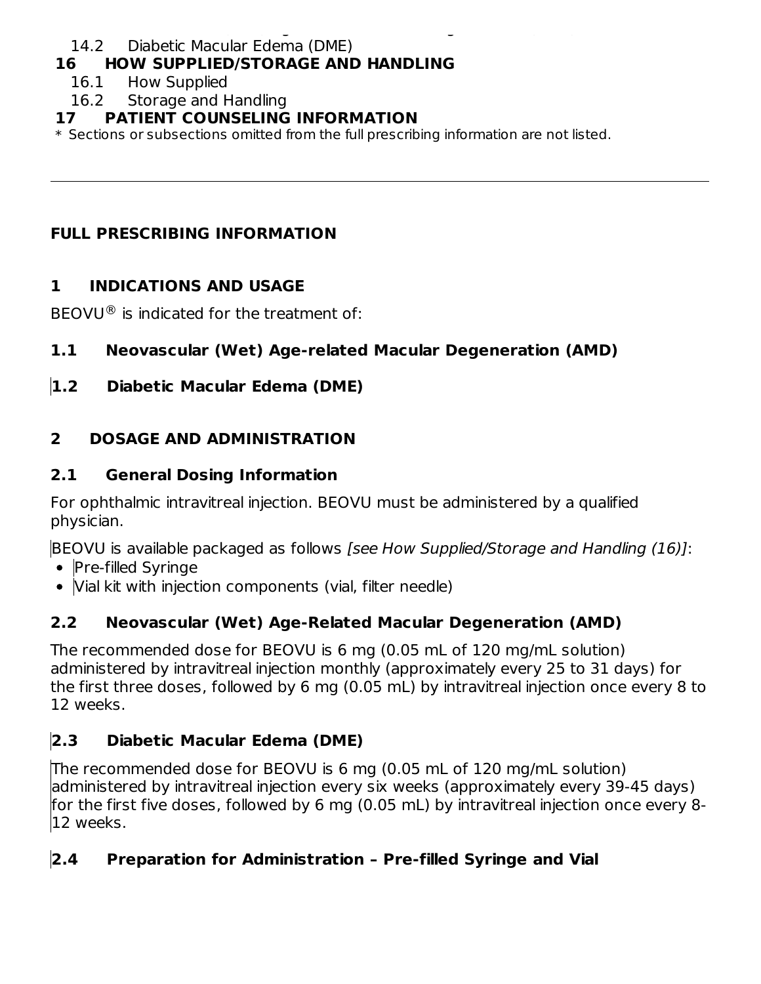#### 14.1 Neovascular (Wet) Age-Related Macular Degeneration (AMD) 14.2 Diabetic Macular Edema (DME)

### **16 HOW SUPPLIED/STORAGE AND HANDLING**

- 16.1 How Supplied
- 16.2 Storage and Handling

### **17 PATIENT COUNSELING INFORMATION**

\* Sections or subsections omitted from the full prescribing information are not listed.

## **FULL PRESCRIBING INFORMATION**

## **1 INDICATIONS AND USAGE**

BEOVU $\textcircled{\tiny{\textcircled{\tiny{R}}}}$  is indicated for the treatment of:

## **1.1 Neovascular (Wet) Age-related Macular Degeneration (AMD)**

## **1.2 Diabetic Macular Edema (DME)**

## **2 DOSAGE AND ADMINISTRATION**

## **2.1 General Dosing Information**

For ophthalmic intravitreal injection. BEOVU must be administered by a qualified physician.

BEOVU is available packaged as follows [see How Supplied/Storage and Handling (16)]:

- Pre-filled Syringe
- Vial kit with injection components (vial, filter needle)

# **2.2 Neovascular (Wet) Age-Related Macular Degeneration (AMD)**

The recommended dose for BEOVU is 6 mg (0.05 mL of 120 mg/mL solution) administered by intravitreal injection monthly (approximately every 25 to 31 days) for the first three doses, followed by 6 mg (0.05 mL) by intravitreal injection once every 8 to 12 weeks.

# **2.3 Diabetic Macular Edema (DME)**

The recommended dose for BEOVU is 6 mg (0.05 mL of 120 mg/mL solution) administered by intravitreal injection every six weeks (approximately every 39-45 days) for the first five doses, followed by 6 mg (0.05 mL) by intravitreal injection once every 8- 12 weeks.

## **2.4 Preparation for Administration – Pre-filled Syringe and Vial**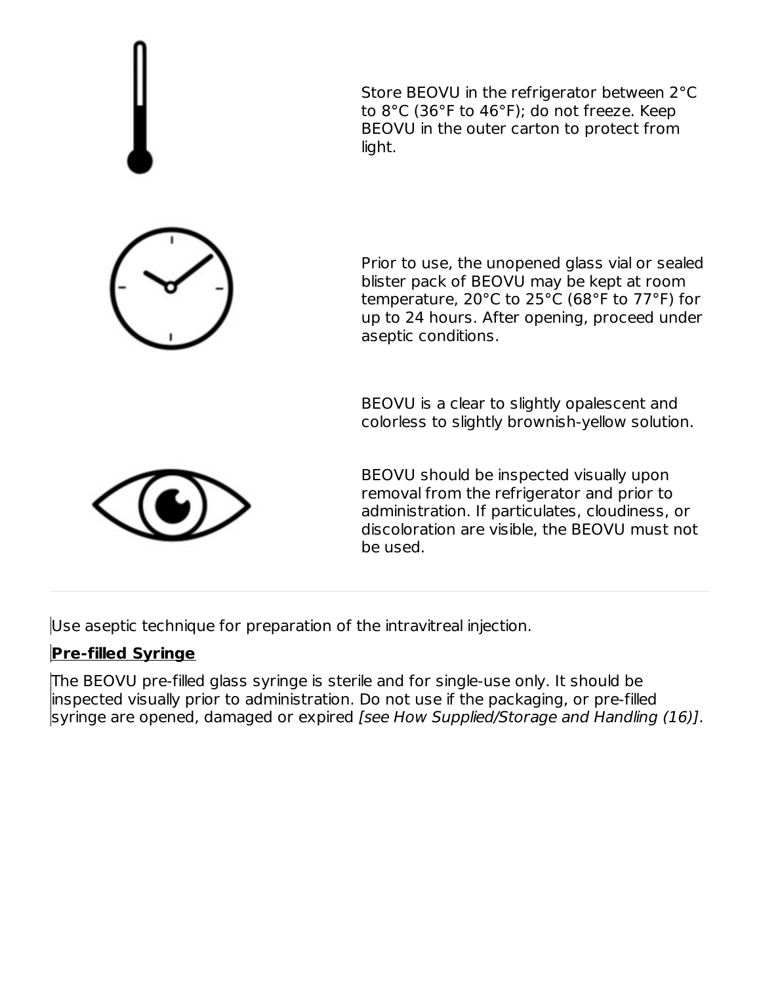

Use aseptic technique for preparation of the intravitreal injection.

## **Pre-filled Syringe**

The BEOVU pre-filled glass syringe is sterile and for single-use only. It should be inspected visually prior to administration. Do not use if the packaging, or pre-filled syringe are opened, damaged or expired [see How Supplied/Storage and Handling (16)].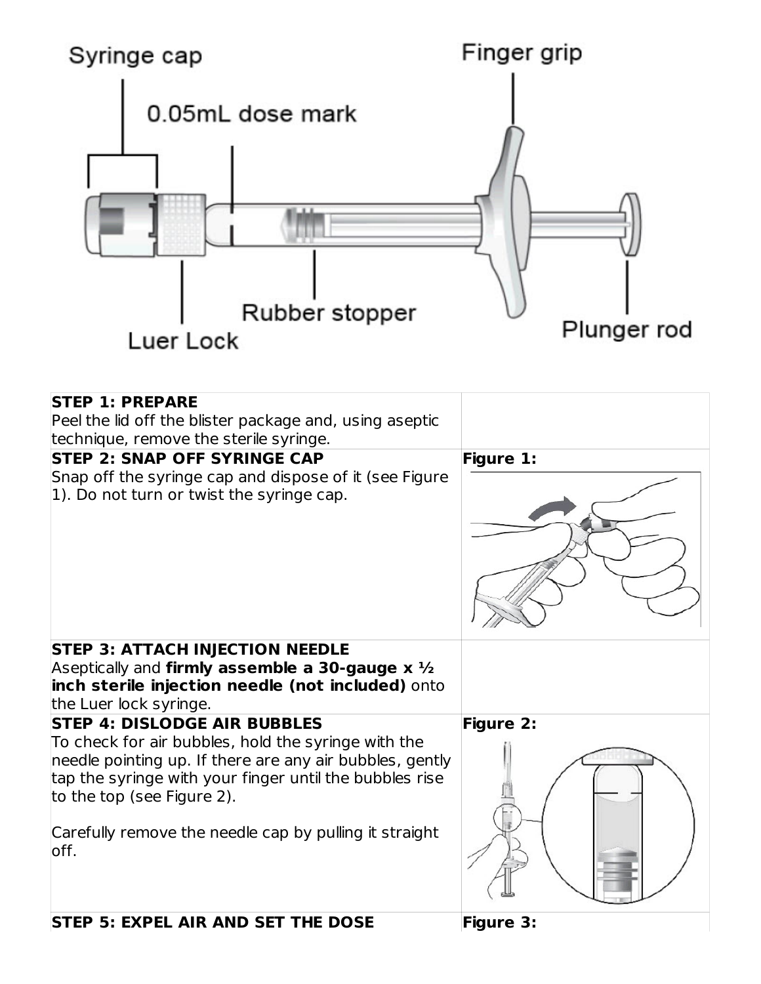

| <b>STEP 1: PREPARE</b><br>Peel the lid off the blister package and, using aseptic<br>technique, remove the sterile syringe.                                                                                                                                                                                        |                  |
|--------------------------------------------------------------------------------------------------------------------------------------------------------------------------------------------------------------------------------------------------------------------------------------------------------------------|------------------|
| <b>STEP 2: SNAP OFF SYRINGE CAP</b><br>Snap off the syringe cap and dispose of it (see Figure<br>1). Do not turn or twist the syringe cap.                                                                                                                                                                         | <b>Figure 1:</b> |
| <b>STEP 3: ATTACH INJECTION NEEDLE</b><br>Aseptically and <b>firmly assemble a 30-gauge x</b> $\frac{1}{2}$<br>inch sterile injection needle (not included) onto<br>the Luer lock syringe.                                                                                                                         |                  |
| <b>STEP 4: DISLODGE AIR BUBBLES</b><br>To check for air bubbles, hold the syringe with the<br>needle pointing up. If there are any air bubbles, gently<br>tap the syringe with your finger until the bubbles rise<br>to the top (see Figure 2).<br>Carefully remove the needle cap by pulling it straight<br>loff. | Figure 2:        |
| <b>STEP 5: EXPEL AIR AND SET THE DOSE</b>                                                                                                                                                                                                                                                                          | <b>Figure 3:</b> |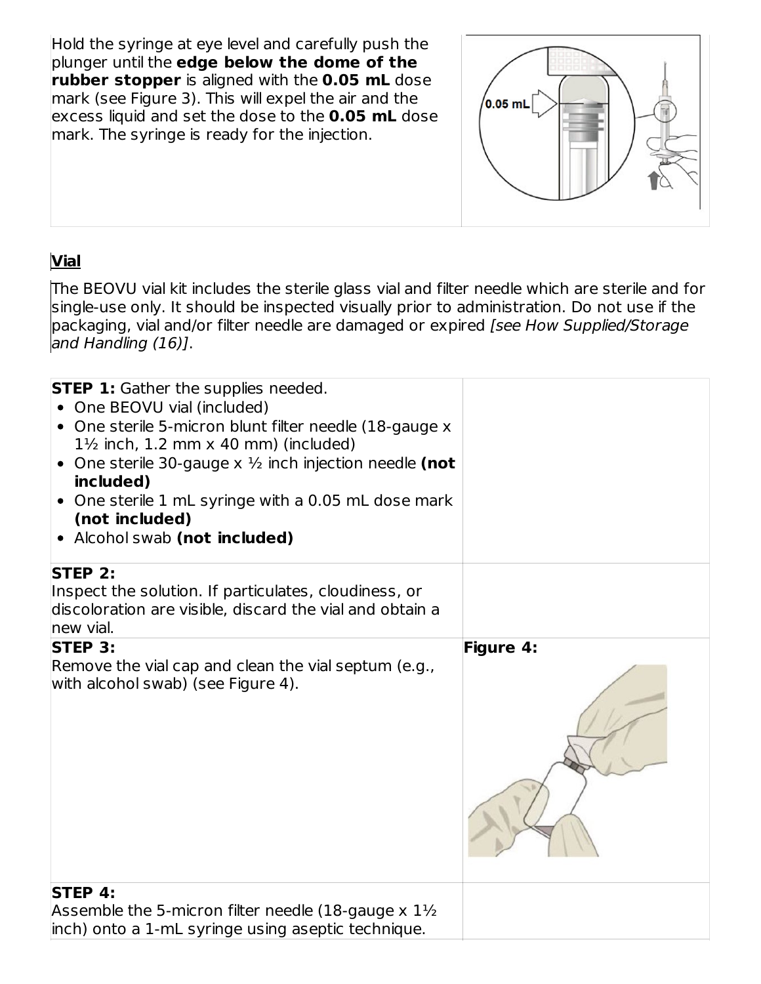Hold the syringe at eye level and carefully push the plunger until the **edge below the dome of the rubber stopper** is aligned with the **0.05 mL** dose mark (see Figure 3). This will expel the air and the excess liquid and set the dose to the **0.05 mL** dose mark. The syringe is ready for the injection.



## **Vial**

The BEOVU vial kit includes the sterile glass vial and filter needle which are sterile and for single-use only. It should be inspected visually prior to administration. Do not use if the packaging, vial and/or filter needle are damaged or expired [see How Supplied/Storage and Handling (16)].

| <b>STEP 1:</b> Gather the supplies needed.<br>One BEOVU vial (included)<br>$\bullet$<br>• One sterile 5-micron blunt filter needle (18-gauge x<br>$1\frac{1}{2}$ inch, 1.2 mm x 40 mm) (included)<br>• One sterile 30-gauge $x \frac{1}{2}$ inch injection needle (not<br>included)<br>• One sterile 1 mL syringe with a 0.05 mL dose mark<br>(not included)<br>• Alcohol swab (not included) |                  |
|-----------------------------------------------------------------------------------------------------------------------------------------------------------------------------------------------------------------------------------------------------------------------------------------------------------------------------------------------------------------------------------------------|------------------|
| STEP 2:                                                                                                                                                                                                                                                                                                                                                                                       |                  |
| Inspect the solution. If particulates, cloudiness, or<br>discoloration are visible, discard the vial and obtain a<br>new vial.                                                                                                                                                                                                                                                                |                  |
| <b>STEP 3:</b>                                                                                                                                                                                                                                                                                                                                                                                | <b>Figure 4:</b> |
| Remove the vial cap and clean the vial septum (e.g.,<br>with alcohol swab) (see Figure 4).                                                                                                                                                                                                                                                                                                    |                  |
| <b>STEP 4:</b>                                                                                                                                                                                                                                                                                                                                                                                |                  |
| Assemble the 5-micron filter needle (18-gauge $x$ 1 $\frac{1}{2}$<br>inch) onto a 1-mL syringe using aseptic technique.                                                                                                                                                                                                                                                                       |                  |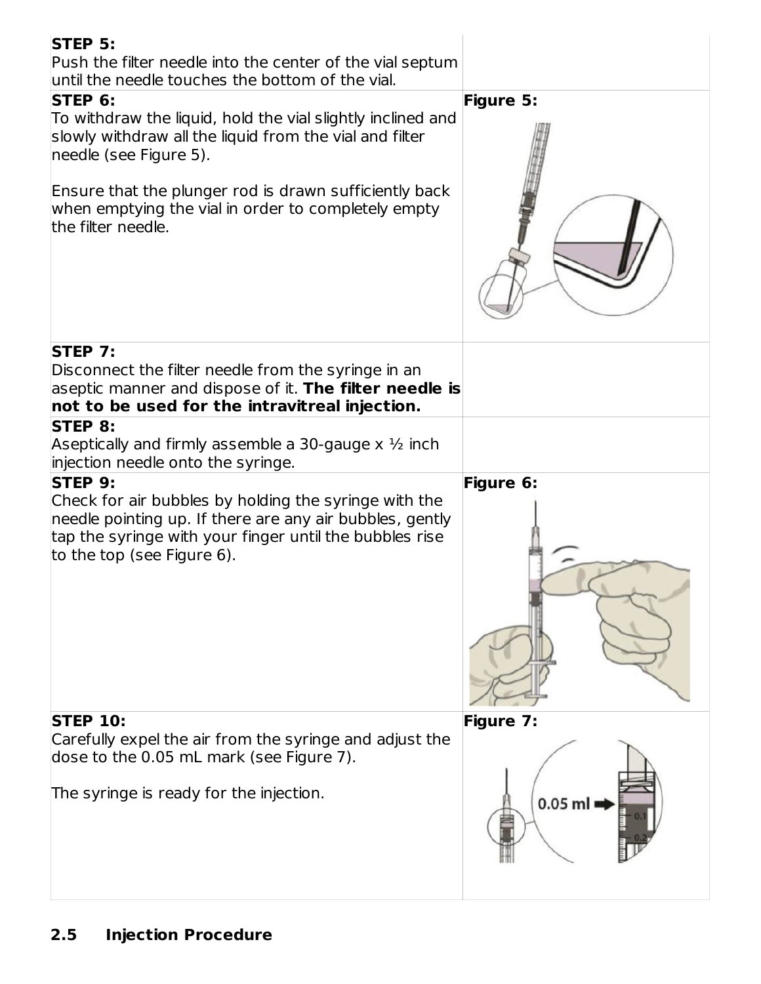| STEP 5:<br>Push the filter needle into the center of the vial septum<br>until the needle touches the bottom of the vial.<br>STEP 6:<br>To withdraw the liquid, hold the vial slightly inclined and<br>slowly withdraw all the liquid from the vial and filter<br>needle (see Figure 5).<br>Ensure that the plunger rod is drawn sufficiently back<br>when emptying the vial in order to completely empty<br>the filter needle.<br><b>STEP 7:</b> | Figure 5:                     |
|--------------------------------------------------------------------------------------------------------------------------------------------------------------------------------------------------------------------------------------------------------------------------------------------------------------------------------------------------------------------------------------------------------------------------------------------------|-------------------------------|
| Disconnect the filter needle from the syringe in an<br>aseptic manner and dispose of it. The filter needle is<br>not to be used for the intravitreal injection.                                                                                                                                                                                                                                                                                  |                               |
| STEP 8:<br>Aseptically and firmly assemble a 30-gauge $x \frac{1}{2}$ inch<br>injection needle onto the syringe.<br><b>STEP 9:</b><br>Check for air bubbles by holding the syringe with the<br>needle pointing up. If there are any air bubbles, gently<br>tap the syringe with your finger until the bubbles rise<br>to the top (see Figure 6).                                                                                                 | Figure 6:                     |
| <b>STEP 10:</b><br>Carefully expel the air from the syringe and adjust the<br>dose to the 0.05 mL mark (see Figure 7).<br>The syringe is ready for the injection.                                                                                                                                                                                                                                                                                | <b>Figure 7:</b><br>$0.05$ ml |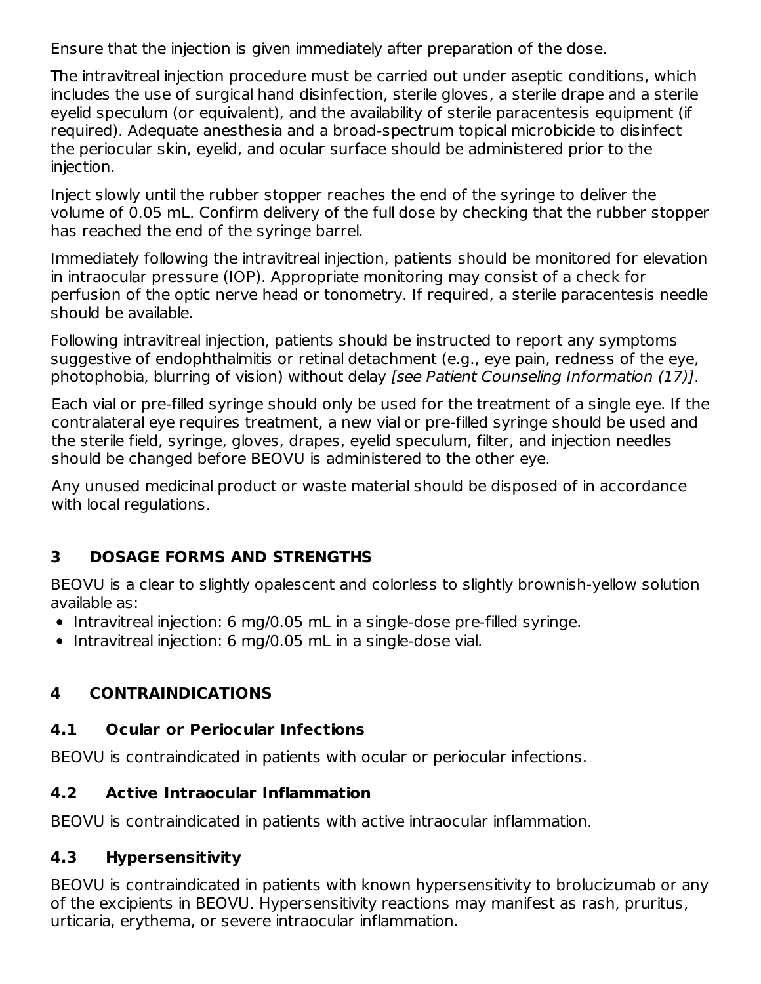Ensure that the injection is given immediately after preparation of the dose.

The intravitreal injection procedure must be carried out under aseptic conditions, which includes the use of surgical hand disinfection, sterile gloves, a sterile drape and a sterile eyelid speculum (or equivalent), and the availability of sterile paracentesis equipment (if required). Adequate anesthesia and a broad-spectrum topical microbicide to disinfect the periocular skin, eyelid, and ocular surface should be administered prior to the injection.

Inject slowly until the rubber stopper reaches the end of the syringe to deliver the volume of 0.05 mL. Confirm delivery of the full dose by checking that the rubber stopper has reached the end of the syringe barrel.

Immediately following the intravitreal injection, patients should be monitored for elevation in intraocular pressure (IOP). Appropriate monitoring may consist of a check for perfusion of the optic nerve head or tonometry. If required, a sterile paracentesis needle should be available.

Following intravitreal injection, patients should be instructed to report any symptoms suggestive of endophthalmitis or retinal detachment (e.g., eye pain, redness of the eye, photophobia, blurring of vision) without delay [see Patient Counseling Information (17)].

Each vial or pre-filled syringe should only be used for the treatment of a single eye. If the contralateral eye requires treatment, a new vial or pre-filled syringe should be used and the sterile field, syringe, gloves, drapes, eyelid speculum, filter, and injection needles should be changed before BEOVU is administered to the other eye.

Any unused medicinal product or waste material should be disposed of in accordance with local regulations.

### **3 DOSAGE FORMS AND STRENGTHS**

BEOVU is a clear to slightly opalescent and colorless to slightly brownish-yellow solution available as:

- Intravitreal injection: 6 mg/0.05 mL in a single-dose pre-filled syringe.
- Intravitreal injection: 6 mg/0.05 mL in a single-dose vial.

### **4 CONTRAINDICATIONS**

### **4.1 Ocular or Periocular Infections**

BEOVU is contraindicated in patients with ocular or periocular infections.

### **4.2 Active Intraocular Inflammation**

BEOVU is contraindicated in patients with active intraocular inflammation.

### **4.3 Hypersensitivity**

BEOVU is contraindicated in patients with known hypersensitivity to brolucizumab or any of the excipients in BEOVU. Hypersensitivity reactions may manifest as rash, pruritus, urticaria, erythema, or severe intraocular inflammation.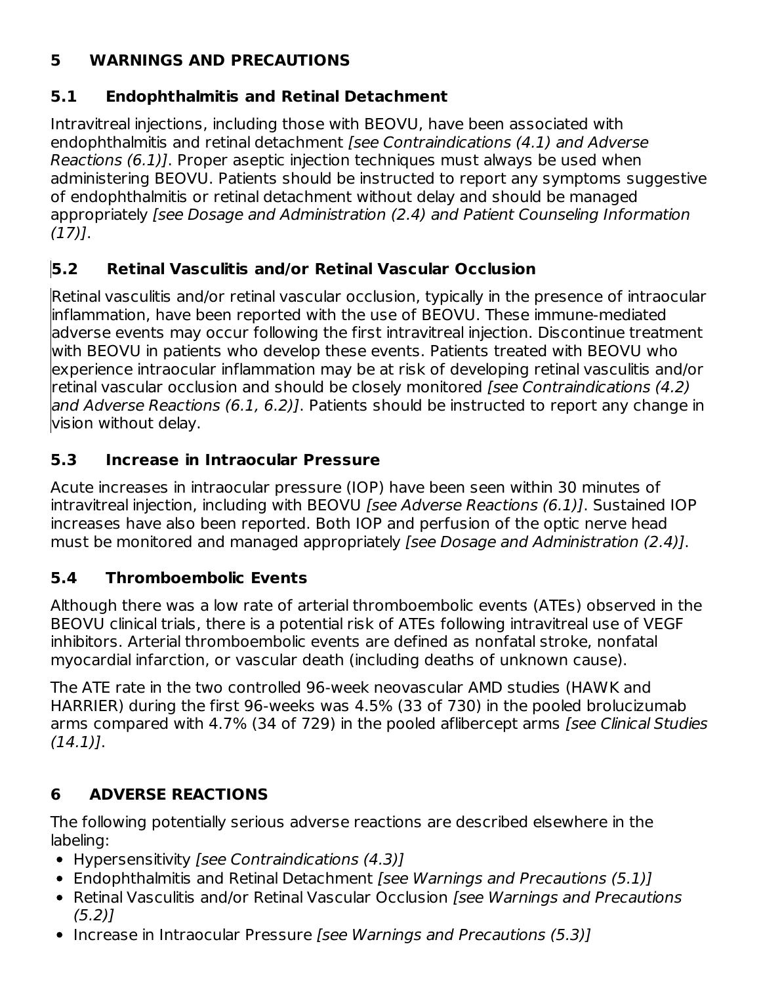### **5 WARNINGS AND PRECAUTIONS**

### **5.1 Endophthalmitis and Retinal Detachment**

Intravitreal injections, including those with BEOVU, have been associated with endophthalmitis and retinal detachment [see Contraindications (4.1) and Adverse Reactions (6.1)]. Proper aseptic injection techniques must always be used when administering BEOVU. Patients should be instructed to report any symptoms suggestive of endophthalmitis or retinal detachment without delay and should be managed appropriately [see Dosage and Administration (2.4) and Patient Counseling Information  $(17)$ ].

### **5.2 Retinal Vasculitis and/or Retinal Vascular Occlusion**

Retinal vasculitis and/or retinal vascular occlusion, typically in the presence of intraocular inflammation, have been reported with the use of BEOVU. These immune-mediated adverse events may occur following the first intravitreal injection. Discontinue treatment with BEOVU in patients who develop these events. Patients treated with BEOVU who experience intraocular inflammation may be at risk of developing retinal vasculitis and/or retinal vascular occlusion and should be closely monitored [see Contraindications (4.2) and Adverse Reactions (6.1, 6.2)]. Patients should be instructed to report any change in vision without delay.

### **5.3 Increase in Intraocular Pressure**

Acute increases in intraocular pressure (IOP) have been seen within 30 minutes of intravitreal injection, including with BEOVU [see Adverse Reactions (6.1)]. Sustained IOP increases have also been reported. Both IOP and perfusion of the optic nerve head must be monitored and managed appropriately [see Dosage and Administration (2.4)].

### **5.4 Thromboembolic Events**

Although there was a low rate of arterial thromboembolic events (ATEs) observed in the BEOVU clinical trials, there is a potential risk of ATEs following intravitreal use of VEGF inhibitors. Arterial thromboembolic events are defined as nonfatal stroke, nonfatal myocardial infarction, or vascular death (including deaths of unknown cause).

The ATE rate in the two controlled 96-week neovascular AMD studies (HAWK and HARRIER) during the first 96-weeks was 4.5% (33 of 730) in the pooled brolucizumab arms compared with 4.7% (34 of 729) in the pooled aflibercept arms [see Clinical Studies  $(14.1)$ .

## **6 ADVERSE REACTIONS**

The following potentially serious adverse reactions are described elsewhere in the labeling:

- Hypersensitivity [see Contraindications (4.3)]
- Endophthalmitis and Retinal Detachment [see Warnings and Precautions (5.1)]
- Retinal Vasculitis and/or Retinal Vascular Occlusion *[see Warnings and Precautions*  $(5.2)$ ]
- Increase in Intraocular Pressure [see Warnings and Precautions (5.3)]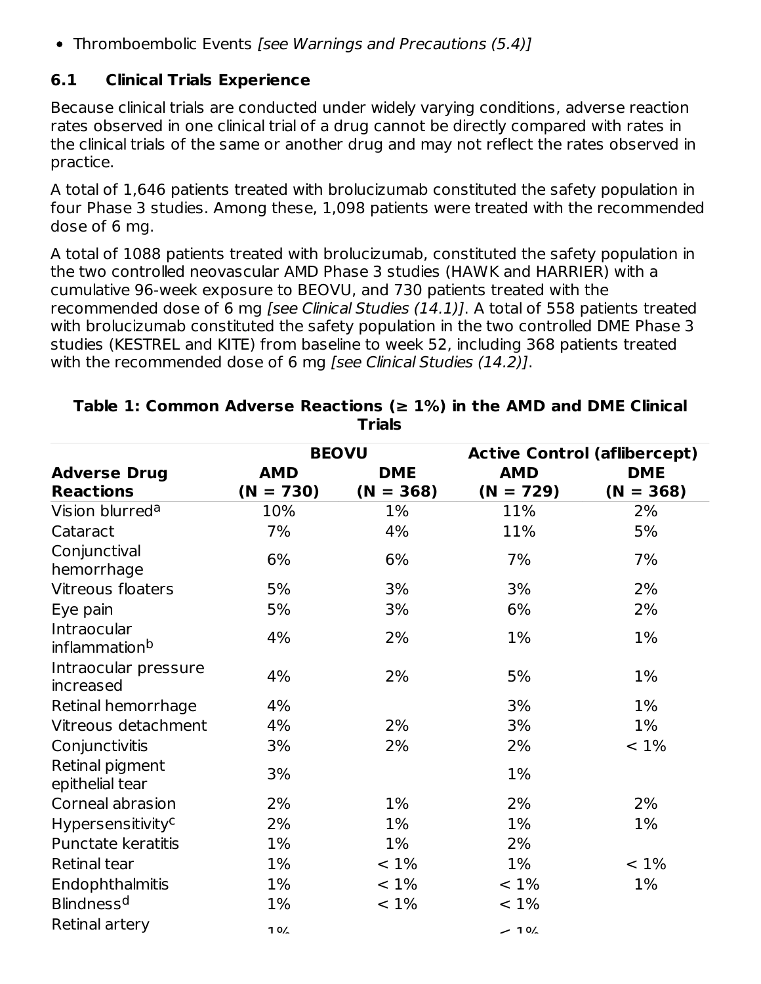• Thromboembolic Events [see Warnings and Precautions (5.4)]

### **6.1 Clinical Trials Experience**

Because clinical trials are conducted under widely varying conditions, adverse reaction rates observed in one clinical trial of a drug cannot be directly compared with rates in the clinical trials of the same or another drug and may not reflect the rates observed in practice.

A total of 1,646 patients treated with brolucizumab constituted the safety population in four Phase 3 studies. Among these, 1,098 patients were treated with the recommended dose of 6 mg.

A total of 1088 patients treated with brolucizumab, constituted the safety population in the two controlled neovascular AMD Phase 3 studies (HAWK and HARRIER) with a cumulative 96-week exposure to BEOVU, and 730 patients treated with the recommended dose of 6 mg [see Clinical Studies (14.1)]. A total of 558 patients treated with brolucizumab constituted the safety population in the two controlled DME Phase 3 studies (KESTREL and KITE) from baseline to week 52, including 368 patients treated with the recommended dose of 6 mg [see Clinical Studies (14.2)].

|                                          |             | <b>BEOVU</b> | <b>Active Control (aflibercept)</b> |             |  |
|------------------------------------------|-------------|--------------|-------------------------------------|-------------|--|
| <b>Adverse Drug</b>                      | <b>AMD</b>  | <b>DME</b>   | <b>AMD</b>                          | <b>DME</b>  |  |
| <b>Reactions</b>                         | $(N = 730)$ | $(N = 368)$  | $(N = 729)$                         | $(N = 368)$ |  |
| Vision blurred <sup>a</sup>              | 10%         | 1%           | 11%                                 | 2%          |  |
| Cataract                                 | 7%          | 4%           | 11%                                 | 5%          |  |
| Conjunctival<br>hemorrhage               | 6%          | 6%           | 7%                                  | 7%          |  |
| Vitreous floaters                        | 5%          | 3%           | 3%                                  | 2%          |  |
| Eye pain                                 | 5%          | 3%           | 6%                                  | 2%          |  |
| Intraocular<br>inflammation <sup>b</sup> | 4%          | 2%           | 1%                                  | 1%          |  |
| Intraocular pressure<br>increased        | 4%          | 2%           | 5%                                  | 1%          |  |
| Retinal hemorrhage                       | 4%          |              | 3%                                  | 1%          |  |
| Vitreous detachment                      | 4%          | 2%           | 3%                                  | 1%          |  |
| Conjunctivitis                           | 3%          | 2%           | 2%                                  | $< 1\%$     |  |
| Retinal pigment<br>epithelial tear       | 3%          |              | 1%                                  |             |  |
| Corneal abrasion                         | 2%          | 1%           | 2%                                  | 2%          |  |
| <b>Hypersensitivity<sup>c</sup></b>      | 2%          | 1%           | 1%                                  | 1%          |  |
| <b>Punctate keratitis</b>                | $1\%$       | 1%           | 2%                                  |             |  |
| <b>Retinal tear</b>                      | $1\%$       | $< 1\%$      | 1%                                  | $< 1\%$     |  |
| Endophthalmitis                          | $1\%$       | $< 1\%$      | $< 1\%$                             | 1%          |  |
| Blindness <sup>d</sup>                   | $1\%$       | $< 1\%$      | $< 1\%$                             |             |  |
| Retinal artery                           | 10/2        |              | $-10/2$                             |             |  |

#### **Table 1: Common Adverse Reactions (≥ 1%) in the AMD and DME Clinical Trials**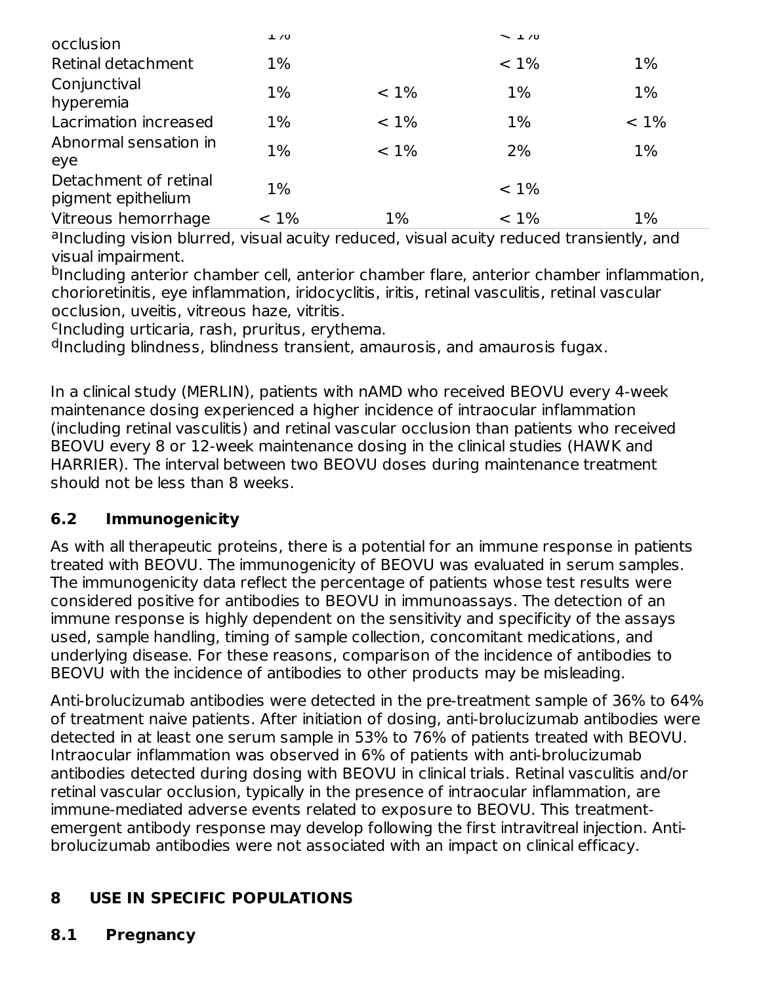| occlusion                                   | $\pm 70$ |         | $\sim$ 1/0 |         |
|---------------------------------------------|----------|---------|------------|---------|
| Retinal detachment                          | $1\%$    |         | $< 1\%$    | $1\%$   |
| Conjunctival<br>hyperemia                   | 1%       | $< 1\%$ | $1\%$      | 1%      |
| Lacrimation increased                       | $1\%$    | $< 1\%$ | $1\%$      | $< 1\%$ |
| Abnormal sensation in<br>eye                | 1%       | $< 1\%$ | 2%         | $1\%$   |
| Detachment of retinal<br>pigment epithelium | $1\%$    |         | $< 1\%$    |         |
| Vitreous hemorrhage                         | $< 1\%$  | $1\%$   | $< 1\%$    | $1\%$   |

alncluding vision blurred, visual acuity reduced, visual acuity reduced transiently, and visual impairment.

<sup>b</sup>Including anterior chamber cell, anterior chamber flare, anterior chamber inflammation, chorioretinitis, eye inflammation, iridocyclitis, iritis, retinal vasculitis, retinal vascular occlusion, uveitis, vitreous haze, vitritis.

<sup>c</sup>Including urticaria, rash, pruritus, erythema.

<sup>d</sup>Including blindness, blindness transient, amaurosis, and amaurosis fugax.

In a clinical study (MERLIN), patients with nAMD who received BEOVU every 4-week maintenance dosing experienced a higher incidence of intraocular inflammation (including retinal vasculitis) and retinal vascular occlusion than patients who received BEOVU every 8 or 12-week maintenance dosing in the clinical studies (HAWK and HARRIER). The interval between two BEOVU doses during maintenance treatment should not be less than 8 weeks.

### **6.2 Immunogenicity**

As with all therapeutic proteins, there is a potential for an immune response in patients treated with BEOVU. The immunogenicity of BEOVU was evaluated in serum samples. The immunogenicity data reflect the percentage of patients whose test results were considered positive for antibodies to BEOVU in immunoassays. The detection of an immune response is highly dependent on the sensitivity and specificity of the assays used, sample handling, timing of sample collection, concomitant medications, and underlying disease. For these reasons, comparison of the incidence of antibodies to BEOVU with the incidence of antibodies to other products may be misleading.

Anti-brolucizumab antibodies were detected in the pre-treatment sample of 36% to 64% of treatment naive patients. After initiation of dosing, anti-brolucizumab antibodies were detected in at least one serum sample in 53% to 76% of patients treated with BEOVU. Intraocular inflammation was observed in 6% of patients with anti-brolucizumab antibodies detected during dosing with BEOVU in clinical trials. Retinal vasculitis and/or retinal vascular occlusion, typically in the presence of intraocular inflammation, are immune-mediated adverse events related to exposure to BEOVU. This treatmentemergent antibody response may develop following the first intravitreal injection. Antibrolucizumab antibodies were not associated with an impact on clinical efficacy.

### **8 USE IN SPECIFIC POPULATIONS**

### **8.1 Pregnancy**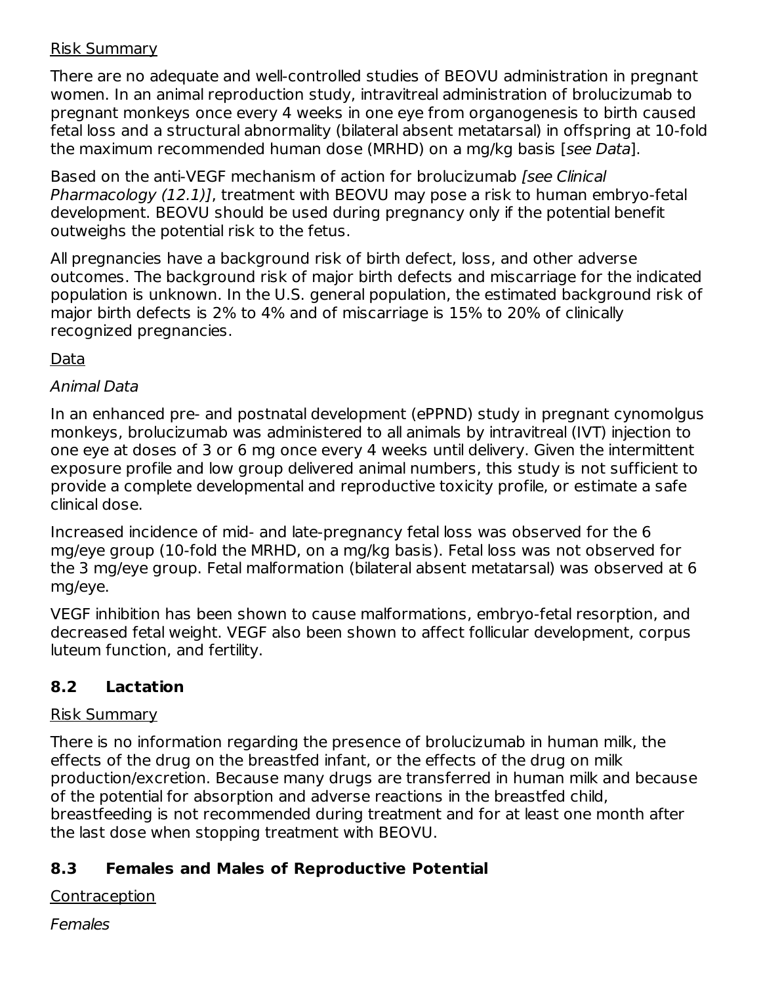### Risk Summary

There are no adequate and well-controlled studies of BEOVU administration in pregnant women. In an animal reproduction study, intravitreal administration of brolucizumab to pregnant monkeys once every 4 weeks in one eye from organogenesis to birth caused fetal loss and a structural abnormality (bilateral absent metatarsal) in offspring at 10-fold the maximum recommended human dose (MRHD) on a mg/kg basis [see Data].

Based on the anti-VEGF mechanism of action for brolucizumab [see Clinical Pharmacology (12.1)], treatment with BEOVU may pose a risk to human embryo-fetal development. BEOVU should be used during pregnancy only if the potential benefit outweighs the potential risk to the fetus.

All pregnancies have a background risk of birth defect, loss, and other adverse outcomes. The background risk of major birth defects and miscarriage for the indicated population is unknown. In the U.S. general population, the estimated background risk of major birth defects is 2% to 4% and of miscarriage is 15% to 20% of clinically recognized pregnancies.

### Data

### Animal Data

In an enhanced pre- and postnatal development (ePPND) study in pregnant cynomolgus monkeys, brolucizumab was administered to all animals by intravitreal (IVT) injection to one eye at doses of 3 or 6 mg once every 4 weeks until delivery. Given the intermittent exposure profile and low group delivered animal numbers, this study is not sufficient to provide a complete developmental and reproductive toxicity profile, or estimate a safe clinical dose.

Increased incidence of mid- and late-pregnancy fetal loss was observed for the 6 mg/eye group (10-fold the MRHD, on a mg/kg basis). Fetal loss was not observed for the 3 mg/eye group. Fetal malformation (bilateral absent metatarsal) was observed at 6 mg/eye.

VEGF inhibition has been shown to cause malformations, embryo-fetal resorption, and decreased fetal weight. VEGF also been shown to affect follicular development, corpus luteum function, and fertility.

### **8.2 Lactation**

### Risk Summary

There is no information regarding the presence of brolucizumab in human milk, the effects of the drug on the breastfed infant, or the effects of the drug on milk production/excretion. Because many drugs are transferred in human milk and because of the potential for absorption and adverse reactions in the breastfed child, breastfeeding is not recommended during treatment and for at least one month after the last dose when stopping treatment with BEOVU.

### **8.3 Females and Males of Reproductive Potential**

Contraception

**Females**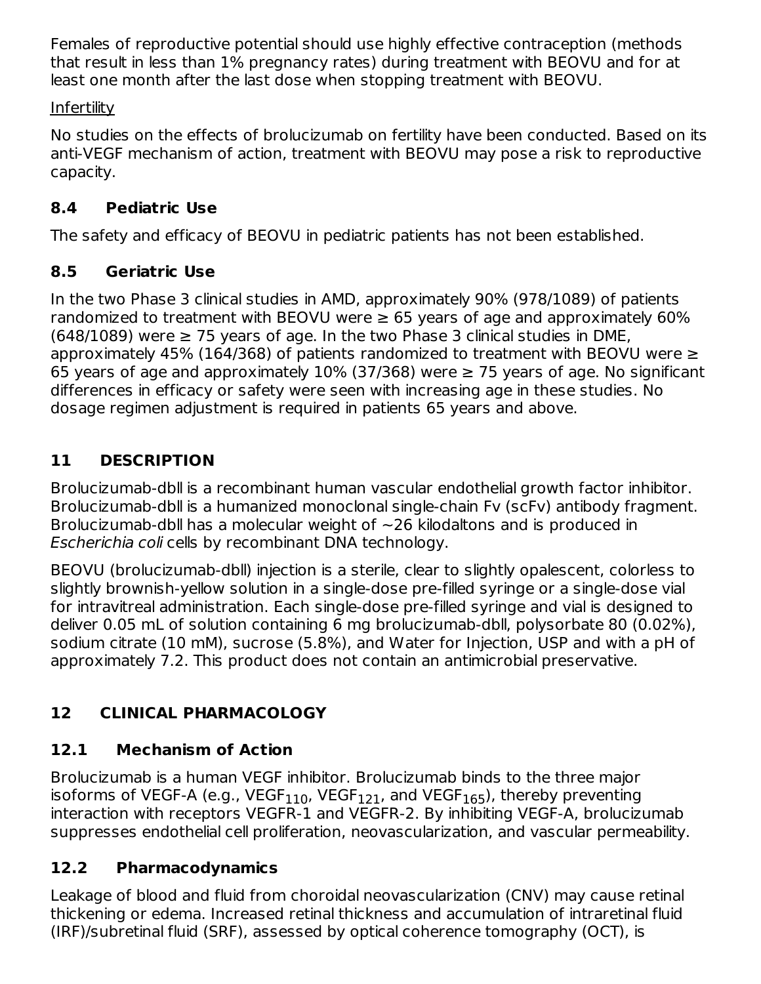Females of reproductive potential should use highly effective contraception (methods that result in less than 1% pregnancy rates) during treatment with BEOVU and for at least one month after the last dose when stopping treatment with BEOVU.

### **Infertility**

No studies on the effects of brolucizumab on fertility have been conducted. Based on its anti-VEGF mechanism of action, treatment with BEOVU may pose a risk to reproductive capacity.

## **8.4 Pediatric Use**

The safety and efficacy of BEOVU in pediatric patients has not been established.

## **8.5 Geriatric Use**

In the two Phase 3 clinical studies in AMD, approximately 90% (978/1089) of patients randomized to treatment with BEOVU were  $\geq 65$  years of age and approximately 60%  $(648/1089)$  were  $\geq 75$  years of age. In the two Phase 3 clinical studies in DME, approximately 45% (164/368) of patients randomized to treatment with BEOVU were  $\geq$ 65 years of age and approximately  $10\%$  (37/368) were  $\geq$  75 years of age. No significant differences in efficacy or safety were seen with increasing age in these studies. No dosage regimen adjustment is required in patients 65 years and above.

# **11 DESCRIPTION**

Brolucizumab-dbll is a recombinant human vascular endothelial growth factor inhibitor. Brolucizumab-dbll is a humanized monoclonal single-chain Fv (scFv) antibody fragment. Brolucizumab-dbll has a molecular weight of  $\sim$ 26 kilodaltons and is produced in Escherichia coli cells by recombinant DNA technology.

BEOVU (brolucizumab-dbll) injection is a sterile, clear to slightly opalescent, colorless to slightly brownish-yellow solution in a single-dose pre-filled syringe or a single-dose vial for intravitreal administration. Each single-dose pre-filled syringe and vial is designed to deliver 0.05 mL of solution containing 6 mg brolucizumab-dbll, polysorbate 80 (0.02%), sodium citrate (10 mM), sucrose (5.8%), and Water for Injection, USP and with a pH of approximately 7.2. This product does not contain an antimicrobial preservative.

# **12 CLINICAL PHARMACOLOGY**

# **12.1 Mechanism of Action**

Brolucizumab is a human VEGF inhibitor. Brolucizumab binds to the three major isoforms of VEGF-A (e.g., VEGF $_{\rm 110}$ , VEGF $_{\rm 121}$ , and VEGF $_{\rm 165}$ ), thereby preventing interaction with receptors VEGFR-1 and VEGFR-2. By inhibiting VEGF-A, brolucizumab suppresses endothelial cell proliferation, neovascularization, and vascular permeability.

## **12.2 Pharmacodynamics**

Leakage of blood and fluid from choroidal neovascularization (CNV) may cause retinal thickening or edema. Increased retinal thickness and accumulation of intraretinal fluid (IRF)/subretinal fluid (SRF), assessed by optical coherence tomography (OCT), is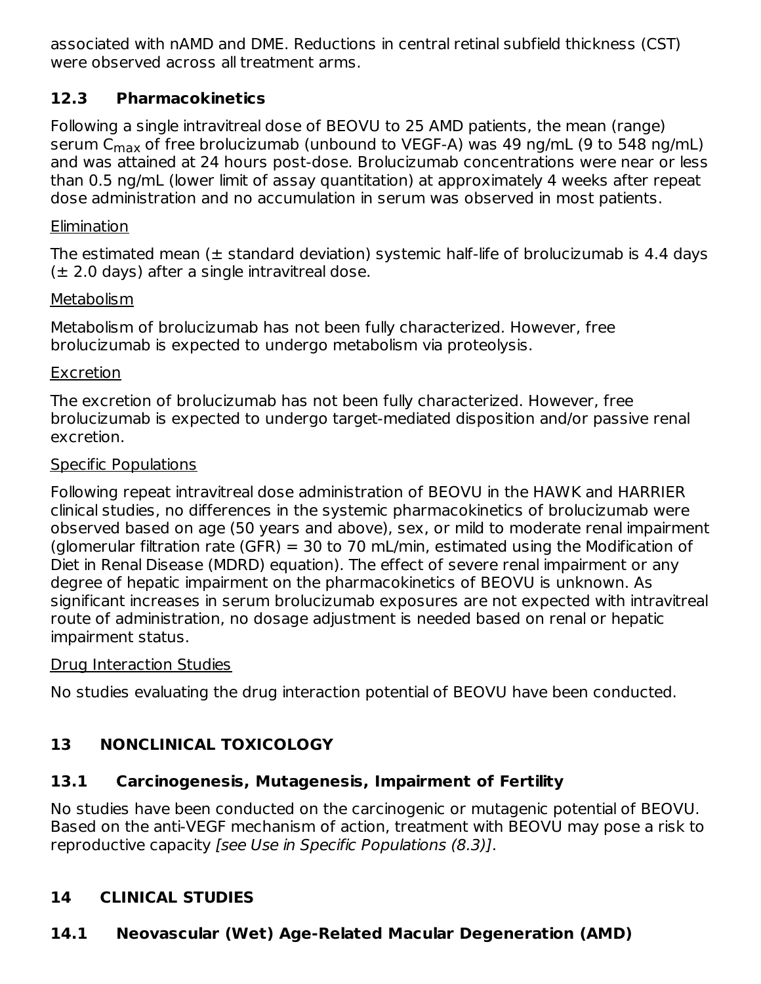associated with nAMD and DME. Reductions in central retinal subfield thickness (CST) were observed across all treatment arms.

### **12.3 Pharmacokinetics**

Following a single intravitreal dose of BEOVU to 25 AMD patients, the mean (range) serum C<sub>max</sub> of free brolucizumab (unbound to VEGF-A) was 49 ng/mL (9 to 548 ng/mL) and was attained at 24 hours post-dose. Brolucizumab concentrations were near or less than 0.5 ng/mL (lower limit of assay quantitation) at approximately 4 weeks after repeat dose administration and no accumulation in serum was observed in most patients.

### **Elimination**

The estimated mean  $(\pm$  standard deviation) systemic half-life of brolucizumab is 4.4 days  $(\pm 2.0$  days) after a single intravitreal dose.

### Metabolism

Metabolism of brolucizumab has not been fully characterized. However, free brolucizumab is expected to undergo metabolism via proteolysis.

### Excretion

The excretion of brolucizumab has not been fully characterized. However, free brolucizumab is expected to undergo target-mediated disposition and/or passive renal excretion.

### Specific Populations

Following repeat intravitreal dose administration of BEOVU in the HAWK and HARRIER clinical studies, no differences in the systemic pharmacokinetics of brolucizumab were observed based on age (50 years and above), sex, or mild to moderate renal impairment (glomerular filtration rate (GFR) = 30 to 70 mL/min, estimated using the Modification of Diet in Renal Disease (MDRD) equation). The effect of severe renal impairment or any degree of hepatic impairment on the pharmacokinetics of BEOVU is unknown. As significant increases in serum brolucizumab exposures are not expected with intravitreal route of administration, no dosage adjustment is needed based on renal or hepatic impairment status.

### Drug Interaction Studies

No studies evaluating the drug interaction potential of BEOVU have been conducted.

# **13 NONCLINICAL TOXICOLOGY**

# **13.1 Carcinogenesis, Mutagenesis, Impairment of Fertility**

No studies have been conducted on the carcinogenic or mutagenic potential of BEOVU. Based on the anti-VEGF mechanism of action, treatment with BEOVU may pose a risk to reproductive capacity [see Use in Specific Populations (8.3)].

# **14 CLINICAL STUDIES**

# **14.1 Neovascular (Wet) Age-Related Macular Degeneration (AMD)**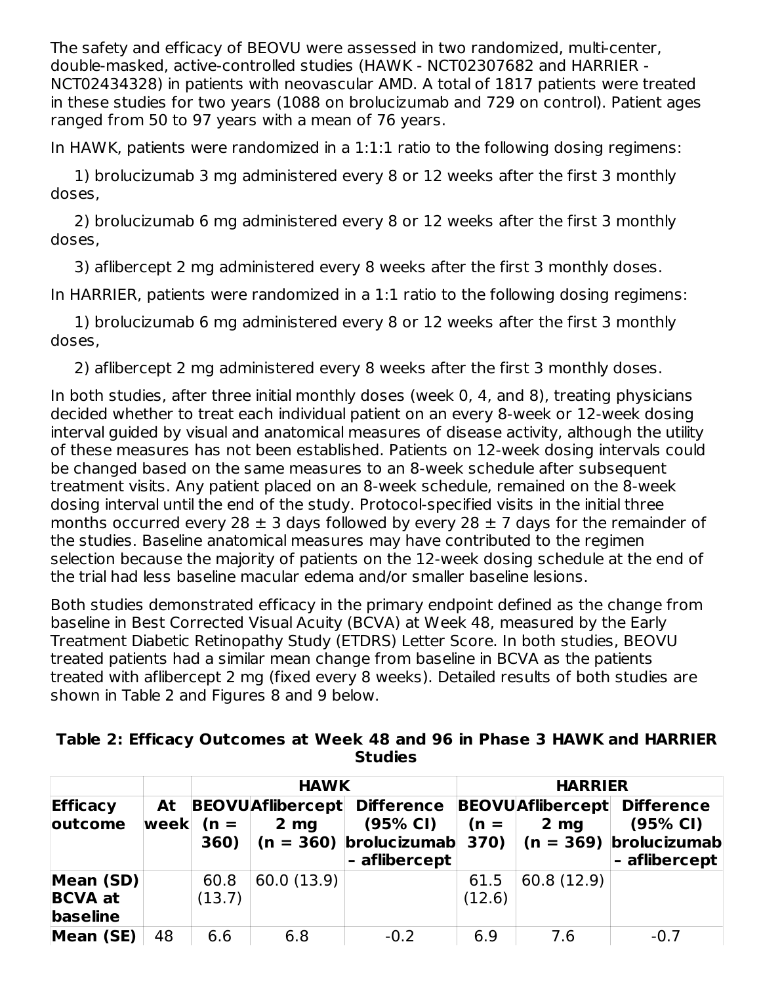The safety and efficacy of BEOVU were assessed in two randomized, multi-center, double-masked, active-controlled studies (HAWK - NCT02307682 and HARRIER - NCT02434328) in patients with neovascular AMD. A total of 1817 patients were treated in these studies for two years (1088 on brolucizumab and 729 on control). Patient ages ranged from 50 to 97 years with a mean of 76 years.

In HAWK, patients were randomized in a 1:1:1 ratio to the following dosing regimens:

1) brolucizumab 3 mg administered every 8 or 12 weeks after the first 3 monthly doses,

2) brolucizumab 6 mg administered every 8 or 12 weeks after the first 3 monthly doses,

3) aflibercept 2 mg administered every 8 weeks after the first 3 monthly doses.

In HARRIER, patients were randomized in a 1:1 ratio to the following dosing regimens:

1) brolucizumab 6 mg administered every 8 or 12 weeks after the first 3 monthly doses,

2) aflibercept 2 mg administered every 8 weeks after the first 3 monthly doses.

In both studies, after three initial monthly doses (week 0, 4, and 8), treating physicians decided whether to treat each individual patient on an every 8-week or 12-week dosing interval guided by visual and anatomical measures of disease activity, although the utility of these measures has not been established. Patients on 12-week dosing intervals could be changed based on the same measures to an 8-week schedule after subsequent treatment visits. Any patient placed on an 8-week schedule, remained on the 8-week dosing interval until the end of the study. Protocol-specified visits in the initial three months occurred every 28  $\pm$  3 days followed by every 28  $\pm$  7 days for the remainder of the studies. Baseline anatomical measures may have contributed to the regimen selection because the majority of patients on the 12-week dosing schedule at the end of the trial had less baseline macular edema and/or smaller baseline lesions.

Both studies demonstrated efficacy in the primary endpoint defined as the change from baseline in Best Corrected Visual Acuity (BCVA) at Week 48, measured by the Early Treatment Diabetic Retinopathy Study (ETDRS) Letter Score. In both studies, BEOVU treated patients had a similar mean change from baseline in BCVA as the patients treated with aflibercept 2 mg (fixed every 8 weeks). Detailed results of both studies are shown in Table 2 and Figures 8 and 9 below.

| Table 2: Efficacy Outcomes at Week 48 and 96 in Phase 3 HAWK and HARRIER |                |  |  |
|--------------------------------------------------------------------------|----------------|--|--|
|                                                                          | <b>Studies</b> |  |  |

|                                         |            |                | <b>HAWK</b>                                 |                                                                                 | <b>HARRIER</b> |                                            |                                                                                                           |  |
|-----------------------------------------|------------|----------------|---------------------------------------------|---------------------------------------------------------------------------------|----------------|--------------------------------------------|-----------------------------------------------------------------------------------------------------------|--|
| <b>Efficacy</b><br>outcome              | At<br>week | $(n =$<br>360) | <b>BEOVU</b> Aflibercept<br>2 <sub>mg</sub> | <b>Difference</b><br>(95% CI)<br>$(n = 360)$ brolucizumab 370)<br>- aflibercept | $(n =$         | <b>BEOVUAflibercept</b><br>2 <sub>mg</sub> | <b>Difference</b><br>(95% CI)<br>$\vert$ (n = 369) $\vert$ brolucizumab $\vert$<br>- aflibercept <b>'</b> |  |
| Mean (SD)<br><b>BCVA</b> at<br>baseline |            | 60.8<br>(13.7) | 60.0(13.9)                                  |                                                                                 | 61.5<br>(12.6) | 60.8 (12.9)                                |                                                                                                           |  |
| Mean (SE)                               | 48         | 6.6            | 6.8                                         | $-0.2$                                                                          | 6.9            | 7.6                                        | $-0.7$                                                                                                    |  |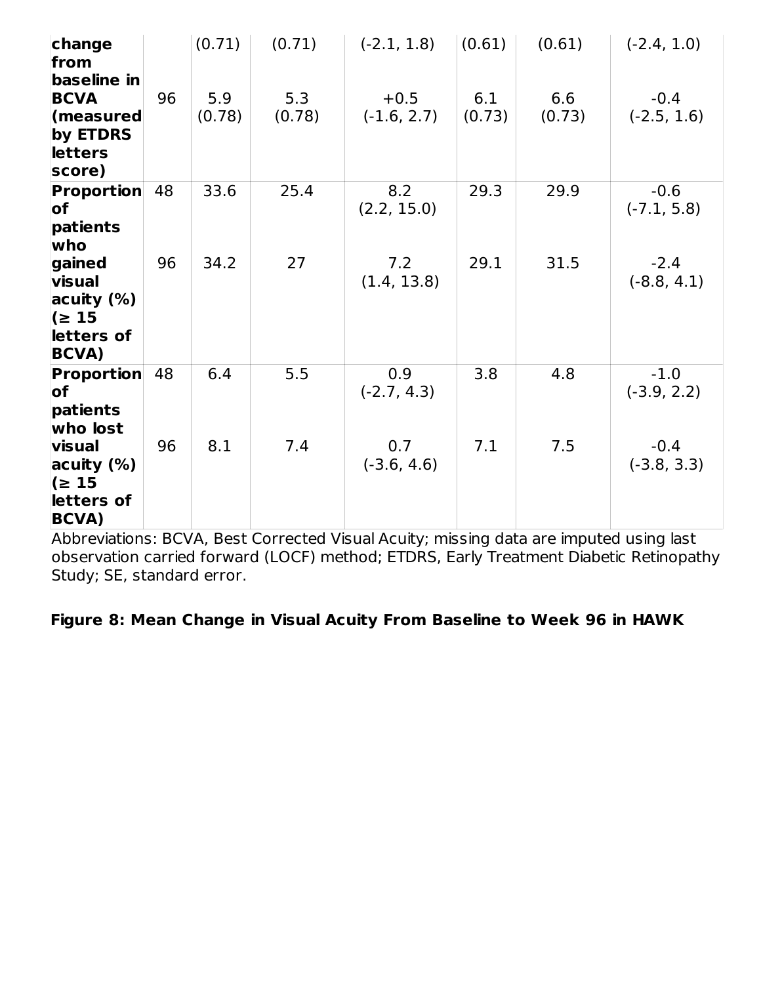| change<br>from                                                                        |    | (0.71)        | (0.71)        | $(-2.1, 1.8)$           | (0.61)        | (0.61)        | $(-2.4, 1.0)$           |
|---------------------------------------------------------------------------------------|----|---------------|---------------|-------------------------|---------------|---------------|-------------------------|
| baseline in<br><b>BCVA</b><br>$\sf (measured$<br>by ETDRS<br><b>letters</b><br>score) | 96 | 5.9<br>(0.78) | 5.3<br>(0.78) | $+0.5$<br>$(-1.6, 2.7)$ | 6.1<br>(0.73) | 6.6<br>(0.73) | $-0.4$<br>$(-2.5, 1.6)$ |
| <b>Proportion</b><br>of<br>patients<br>who                                            | 48 | 33.6          | 25.4          | 8.2<br>(2.2, 15.0)      | 29.3          | 29.9          | $-0.6$<br>$(-7.1, 5.8)$ |
| gained<br>visual<br>acuity (%)<br>$\approx 15$<br>letters of<br><b>BCVA</b> )         | 96 | 34.2          | 27            | 7.2<br>(1.4, 13.8)      | 29.1          | 31.5          | $-2.4$<br>$(-8.8, 4.1)$ |
| <b>Proportion</b><br>lof<br>patients<br>who lost                                      | 48 | 6.4           | 5.5           | 0.9<br>$(-2.7, 4.3)$    | 3.8           | 4.8           | $-1.0$<br>$(-3.9, 2.2)$ |
| visual<br>acuity $(\%)$<br>$\approx 15$<br>letters of<br><b>BCVA)</b>                 | 96 | 8.1           | 7.4           | 0.7<br>$(-3.6, 4.6)$    | 7.1           | 7.5           | $-0.4$<br>$(-3.8, 3.3)$ |

Abbreviations: BCVA, Best Corrected Visual Acuity; missing data are imputed using last observation carried forward (LOCF) method; ETDRS, Early Treatment Diabetic Retinopathy Study; SE, standard error.

### **Figure 8: Mean Change in Visual Acuity From Baseline to Week 96 in HAWK**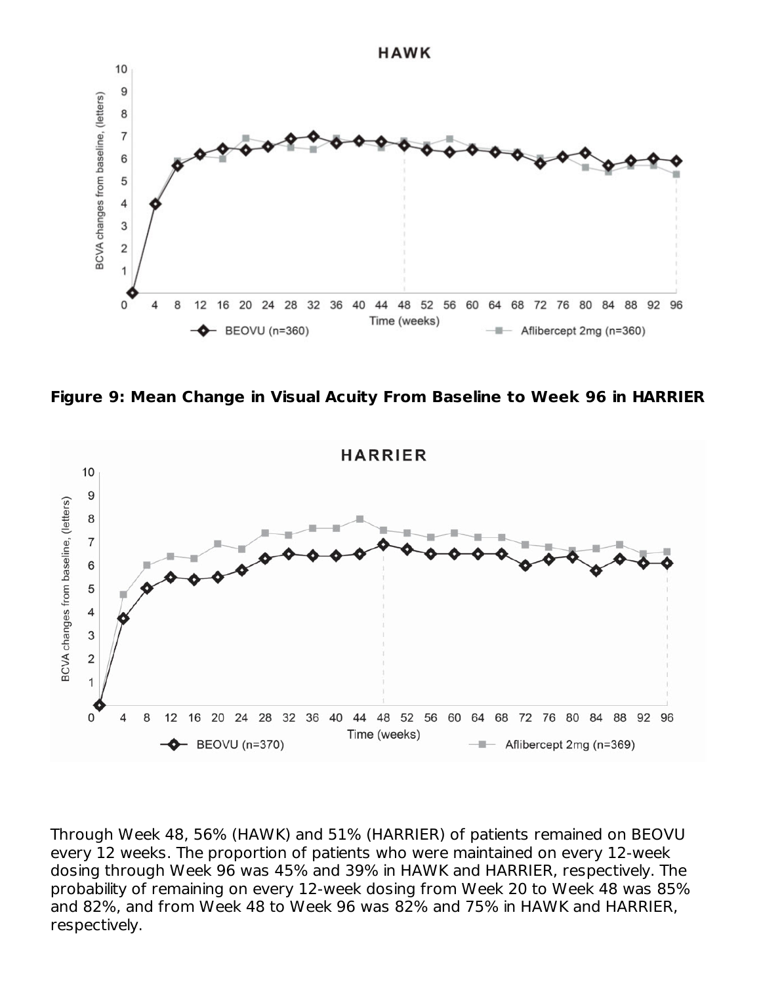

**Figure 9: Mean Change in Visual Acuity From Baseline to Week 96 in HARRIER**



Through Week 48, 56% (HAWK) and 51% (HARRIER) of patients remained on BEOVU every 12 weeks. The proportion of patients who were maintained on every 12-week dosing through Week 96 was 45% and 39% in HAWK and HARRIER, respectively. The probability of remaining on every 12-week dosing from Week 20 to Week 48 was 85% and 82%, and from Week 48 to Week 96 was 82% and 75% in HAWK and HARRIER, respectively.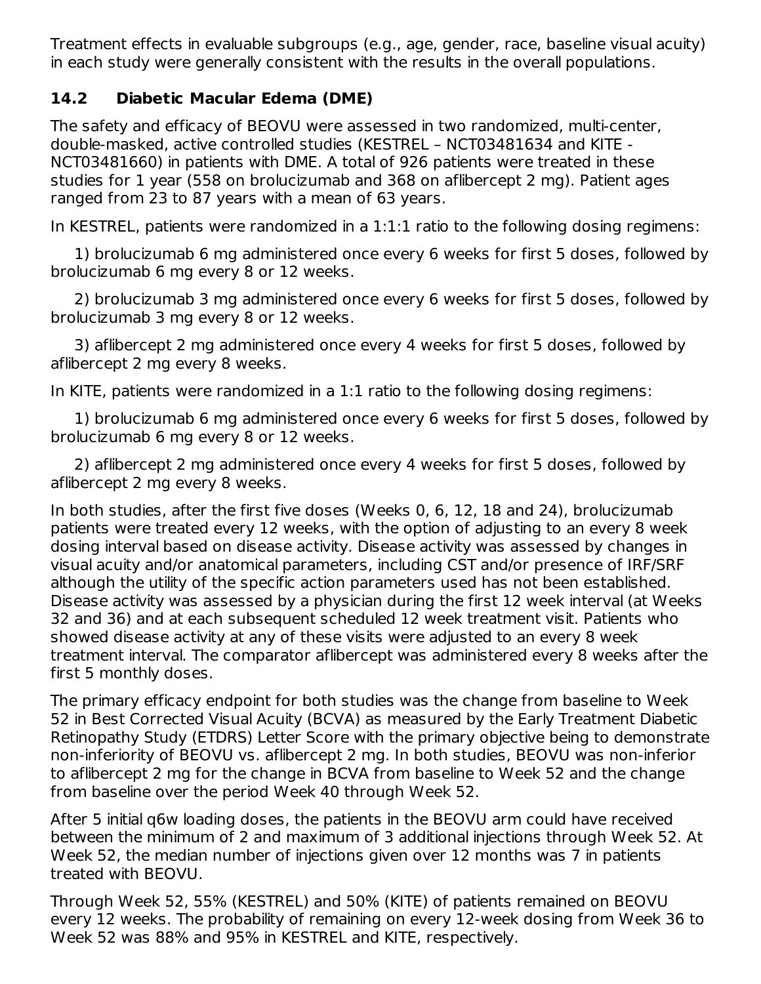Treatment effects in evaluable subgroups (e.g., age, gender, race, baseline visual acuity) in each study were generally consistent with the results in the overall populations.

### **14.2 Diabetic Macular Edema (DME)**

The safety and efficacy of BEOVU were assessed in two randomized, multi-center, double-masked, active controlled studies (KESTREL – NCT03481634 and KITE - NCT03481660) in patients with DME. A total of 926 patients were treated in these studies for 1 year (558 on brolucizumab and 368 on aflibercept 2 mg). Patient ages ranged from 23 to 87 years with a mean of 63 years.

In KESTREL, patients were randomized in a 1:1:1 ratio to the following dosing regimens:

1) brolucizumab 6 mg administered once every 6 weeks for first 5 doses, followed by brolucizumab 6 mg every 8 or 12 weeks.

2) brolucizumab 3 mg administered once every 6 weeks for first 5 doses, followed by brolucizumab 3 mg every 8 or 12 weeks.

3) aflibercept 2 mg administered once every 4 weeks for first 5 doses, followed by aflibercept 2 mg every 8 weeks.

In KITE, patients were randomized in a 1:1 ratio to the following dosing regimens:

1) brolucizumab 6 mg administered once every 6 weeks for first 5 doses, followed by brolucizumab 6 mg every 8 or 12 weeks.

2) aflibercept 2 mg administered once every 4 weeks for first 5 doses, followed by aflibercept 2 mg every 8 weeks.

In both studies, after the first five doses (Weeks 0, 6, 12, 18 and 24), brolucizumab patients were treated every 12 weeks, with the option of adjusting to an every 8 week dosing interval based on disease activity. Disease activity was assessed by changes in visual acuity and/or anatomical parameters, including CST and/or presence of IRF/SRF although the utility of the specific action parameters used has not been established. Disease activity was assessed by a physician during the first 12 week interval (at Weeks 32 and 36) and at each subsequent scheduled 12 week treatment visit. Patients who showed disease activity at any of these visits were adjusted to an every 8 week treatment interval. The comparator aflibercept was administered every 8 weeks after the first 5 monthly doses.

The primary efficacy endpoint for both studies was the change from baseline to Week 52 in Best Corrected Visual Acuity (BCVA) as measured by the Early Treatment Diabetic Retinopathy Study (ETDRS) Letter Score with the primary objective being to demonstrate non-inferiority of BEOVU vs. aflibercept 2 mg. In both studies, BEOVU was non-inferior to aflibercept 2 mg for the change in BCVA from baseline to Week 52 and the change from baseline over the period Week 40 through Week 52.

After 5 initial q6w loading doses, the patients in the BEOVU arm could have received between the minimum of 2 and maximum of 3 additional injections through Week 52. At Week 52, the median number of injections given over 12 months was 7 in patients treated with BEOVU.

Through Week 52, 55% (KESTREL) and 50% (KITE) of patients remained on BEOVU every 12 weeks. The probability of remaining on every 12-week dosing from Week 36 to Week 52 was 88% and 95% in KESTREL and KITE, respectively.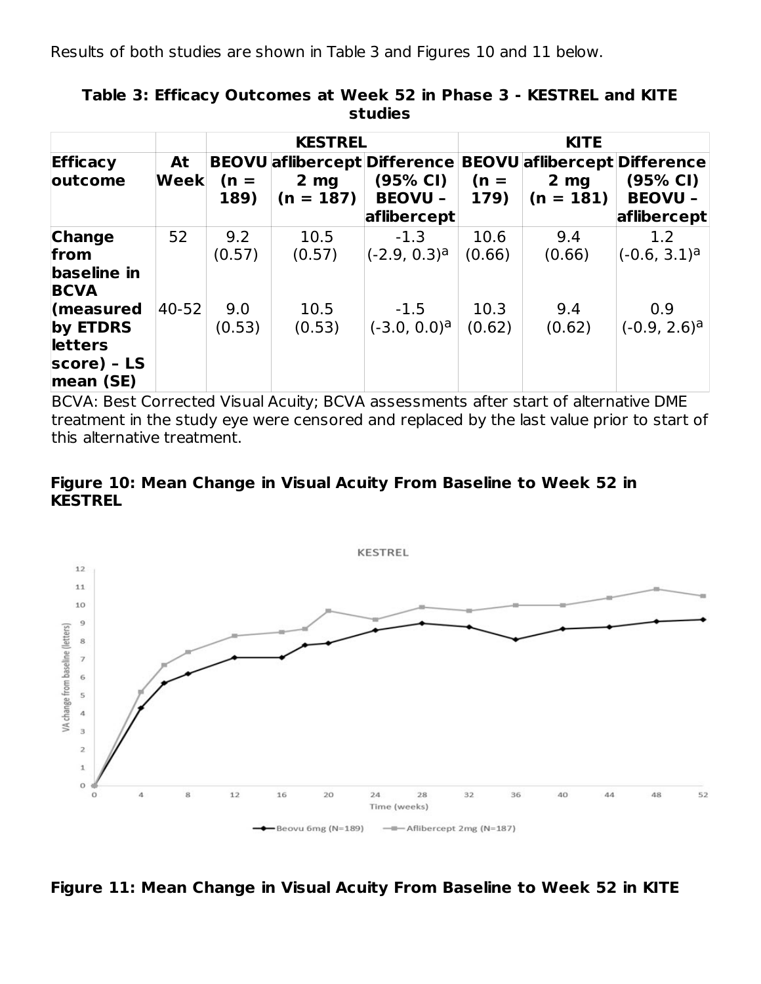Results of both studies are shown in Table 3 and Figures 10 and 11 below.

|                                                                       |            |                | <b>KESTREL</b><br><b>KITE</b>  |                                                                                  |                |                                |                                                                                  |
|-----------------------------------------------------------------------|------------|----------------|--------------------------------|----------------------------------------------------------------------------------|----------------|--------------------------------|----------------------------------------------------------------------------------|
| <b>Efficacy</b><br>outcome                                            | At<br>Week | $(n =$<br>189) | 2 <sub>mg</sub><br>$(n = 187)$ | <b>BEOVU</b> aflibercept Difference<br>(95% CI)<br><b>BEOVU -</b><br>aflibercept | $(n =$<br>179) | 2 <sub>mg</sub><br>$(n = 181)$ | <b>BEOVU</b> aflibercept Difference<br>(95% CI)<br><b>BEOVU -</b><br>aflibercept |
| <b>Change</b><br>from<br>baseline in<br><b>BCVA</b>                   | 52         | 9.2<br>(0.57)  | 10.5<br>(0.57)                 | $-1.3$<br>$(-2.9, 0.3)^a$                                                        | 10.6<br>(0.66) | 9.4<br>(0.66)                  | 1.2<br>(-0.6, 3.1) <sup>a</sup>                                                  |
| measured<br>by ETDRS<br><b>letters</b><br>$ score) - LS$<br>mean (SE) | $40 - 52$  | 9.0<br>(0.53)  | 10.5<br>(0.53)                 | $-1.5$<br>$(-3.0, 0.0)a$                                                         | 10.3<br>(0.62) | 9.4<br>(0.62)                  | 0.9<br>$(-0.9, 2.6)$ <sup>a</sup>                                                |

**Table 3: Efficacy Outcomes at Week 52 in Phase 3 - KESTREL and KITE studies**

BCVA: Best Corrected Visual Acuity; BCVA assessments after start of alternative DME treatment in the study eye were censored and replaced by the last value prior to start of this alternative treatment.

#### **Figure 10: Mean Change in Visual Acuity From Baseline to Week 52 in KESTREL**



**Figure 11: Mean Change in Visual Acuity From Baseline to Week 52 in KITE**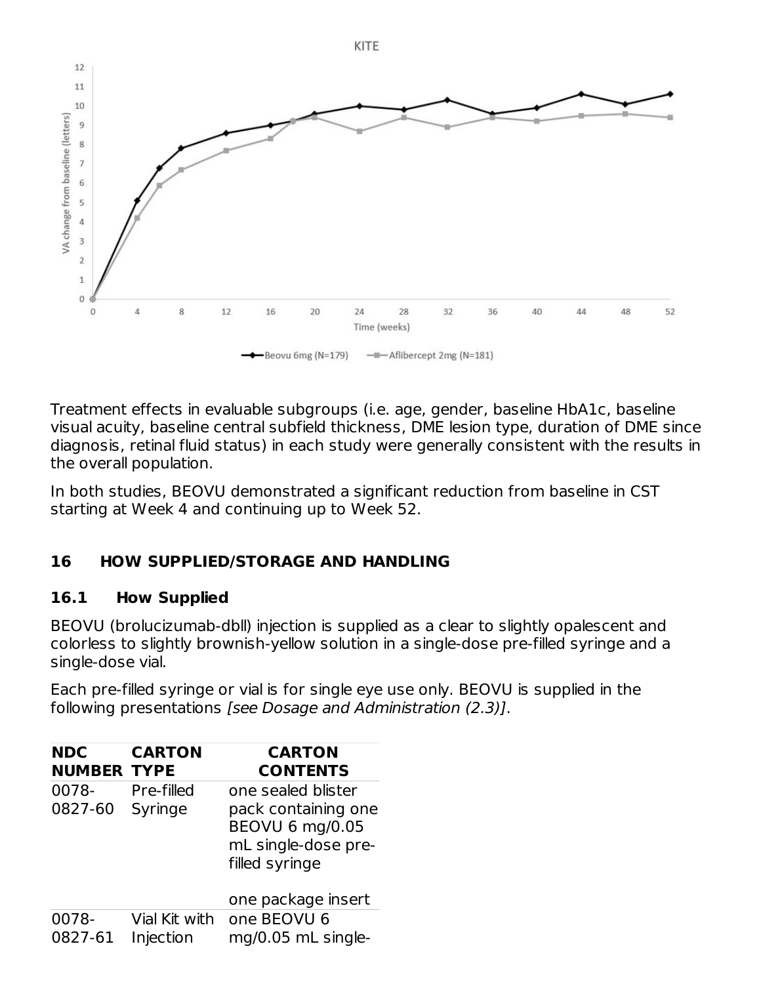

Treatment effects in evaluable subgroups (i.e. age, gender, baseline HbA1c, baseline visual acuity, baseline central subfield thickness, DME lesion type, duration of DME since diagnosis, retinal fluid status) in each study were generally consistent with the results in the overall population.

In both studies, BEOVU demonstrated a significant reduction from baseline in CST starting at Week 4 and continuing up to Week 52.

### **16 HOW SUPPLIED/STORAGE AND HANDLING**

### **16.1 How Supplied**

BEOVU (brolucizumab-dbll) injection is supplied as a clear to slightly opalescent and colorless to slightly brownish-yellow solution in a single-dose pre-filled syringe and a single-dose vial.

Each pre-filled syringe or vial is for single eye use only. BEOVU is supplied in the following presentations [see Dosage and Administration (2.3)].

| <b>NDC</b><br><b>NUMBER TYPE</b> | <b>CARTON</b>              | <b>CARTON</b><br><b>CONTENTS</b>                                                                      |
|----------------------------------|----------------------------|-------------------------------------------------------------------------------------------------------|
| 0078-<br>0827-60                 | Pre-filled<br>Syringe      | one sealed blister<br>pack containing one<br>BEOVU 6 mg/0.05<br>mL single-dose pre-<br>filled syringe |
| 0078-<br>0827-61                 | Vial Kit with<br>Injection | one package insert<br>one BEOVU 6<br>mg/0.05 mL single-                                               |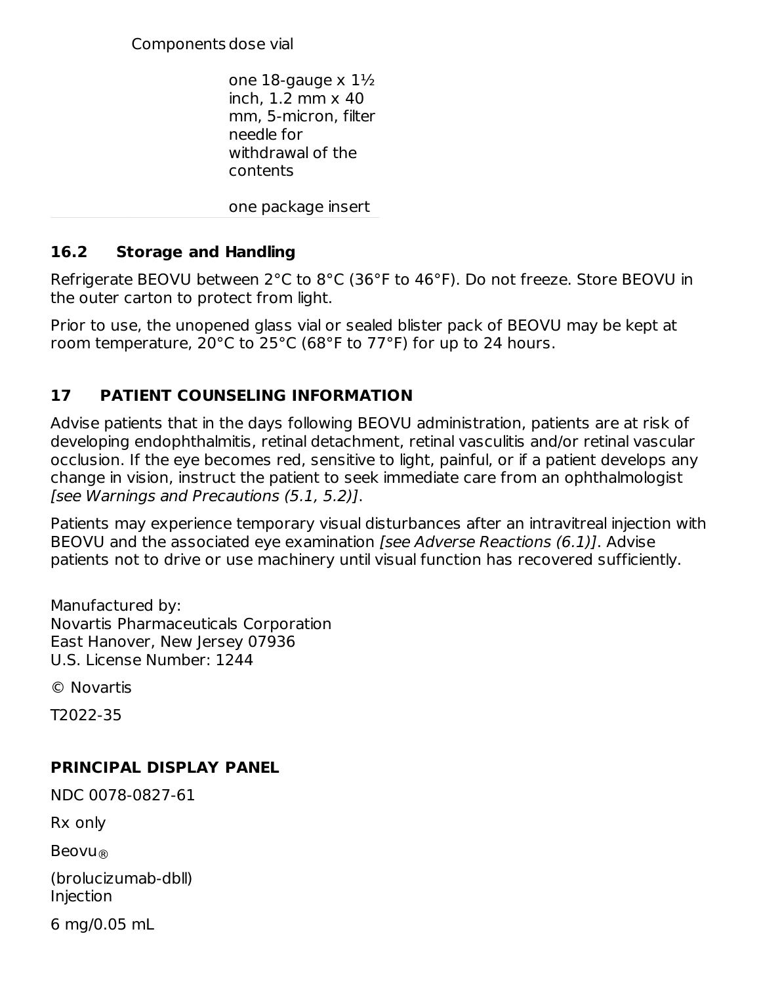Components dose vial

one 18-gauge  $\times$  1 $\frac{1}{2}$ inch, 1.2 mm x 40 mm, 5-micron, filter needle for withdrawal of the contents

one package insert

### **16.2 Storage and Handling**

Refrigerate BEOVU between 2°C to 8°C (36°F to 46°F). Do not freeze. Store BEOVU in the outer carton to protect from light.

Prior to use, the unopened glass vial or sealed blister pack of BEOVU may be kept at room temperature, 20°C to 25°C (68°F to 77°F) for up to 24 hours.

### **17 PATIENT COUNSELING INFORMATION**

Advise patients that in the days following BEOVU administration, patients are at risk of developing endophthalmitis, retinal detachment, retinal vasculitis and/or retinal vascular occlusion. If the eye becomes red, sensitive to light, painful, or if a patient develops any change in vision, instruct the patient to seek immediate care from an ophthalmologist [see Warnings and Precautions (5.1, 5.2)].

Patients may experience temporary visual disturbances after an intravitreal injection with BEOVU and the associated eye examination [see Adverse Reactions (6.1)]. Advise patients not to drive or use machinery until visual function has recovered sufficiently.

Manufactured by: Novartis Pharmaceuticals Corporation East Hanover, New Jersey 07936 U.S. License Number: 1244

© Novartis

T2022-35

### **PRINCIPAL DISPLAY PANEL**

NDC 0078-0827-61

Rx only

Beovu ®

(brolucizumab-dbll) Injection

6 mg/0.05 mL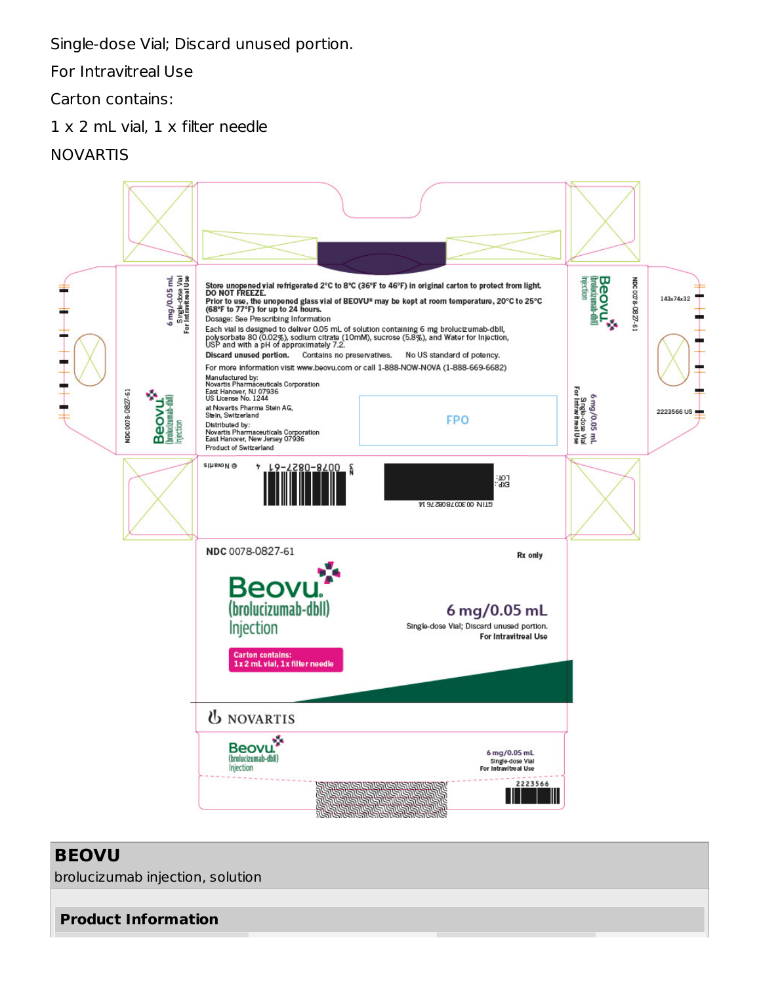Single-dose Vial; Discard unused portion.

For Intravitreal Use

Carton contains:

1 x 2 mL vial, 1 x filter needle

### NOVARTIS

![](_page_21_Picture_5.jpeg)

### **BEOVU**

brolucizumab injection, solution

**Product Information**